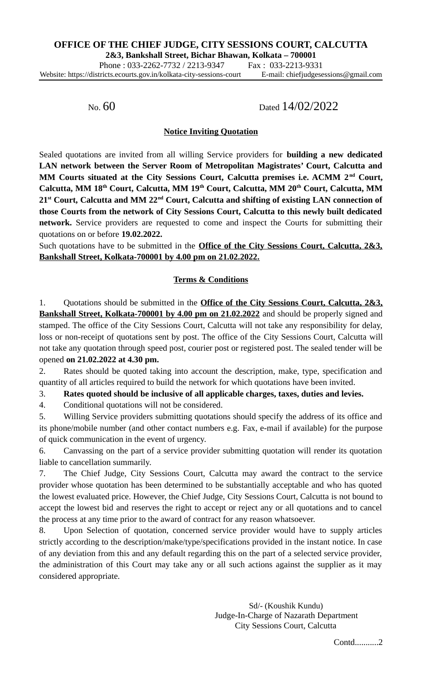Phone: 033-2262-7732 / 2213-9347 Fax: 033-2213-9331 Website: https://districts.ecourts.gov.in/kolkata-city-sessions-court E-mail: chiefjudgesessions@gmail.com

No. 60 Dated 14/02/2022

## **Notice Inviting Quotation**

Sealed quotations are invited from all willing Service providers for **building a new dedicated LAN network between the Server Room of Metropolitan Magistrates' Court, Calcutta and MM Courts situated at the City Sessions Court, Calcutta premises i.e. ACMM 2 nd Court, Calcutta, MM 18th Court, Calcutta, MM 19th Court, Calcutta, MM 20th Court, Calcutta, MM 21st Court, Calcutta and MM 22nd Court, Calcutta and shifting of existing LAN connection of those Courts from the network of City Sessions Court, Calcutta to this newly built dedicated network.** Service providers are requested to come and inspect the Courts for submitting their quotations on or before **19.02.2022.**

Such quotations have to be submitted in the **Office of the City Sessions Court, Calcutta, 2&3, Bankshall Street, Kolkata-700001 by 4.00 pm on 21.02.2022.**

# **Terms & Conditions**

1. Quotations should be submitted in the **Office of the City Sessions Court, Calcutta, 2&3, Bankshall Street, Kolkata-700001 by 4.00 pm on 21.02.2022** and should be properly signed and stamped. The office of the City Sessions Court, Calcutta will not take any responsibility for delay, loss or non-receipt of quotations sent by post. The office of the City Sessions Court, Calcutta will not take any quotation through speed post, courier post or registered post. The sealed tender will be opened **on 21.02.2022 at 4.30 pm.**

2. Rates should be quoted taking into account the description, make, type, specification and quantity of all articles required to build the network for which quotations have been invited.

3. **Rates quoted should be inclusive of all applicable charges, taxes, duties and levies.**

4. Conditional quotations will not be considered.

5. Willing Service providers submitting quotations should specify the address of its office and its phone/mobile number (and other contact numbers e.g. Fax, e-mail if available) for the purpose of quick communication in the event of urgency.

6. Canvassing on the part of a service provider submitting quotation will render its quotation liable to cancellation summarily.

7. The Chief Judge, City Sessions Court, Calcutta may award the contract to the service provider whose quotation has been determined to be substantially acceptable and who has quoted the lowest evaluated price. However, the Chief Judge, City Sessions Court, Calcutta is not bound to accept the lowest bid and reserves the right to accept or reject any or all quotations and to cancel the process at any time prior to the award of contract for any reason whatsoever.

8. Upon Selection of quotation, concerned service provider would have to supply articles strictly according to the description/make/type/specifications provided in the instant notice. In case of any deviation from this and any default regarding this on the part of a selected service provider, the administration of this Court may take any or all such actions against the supplier as it may considered appropriate.

> Sd/- (Koushik Kundu) Judge-In-Charge of Nazarath Department City Sessions Court, Calcutta

> > Contd...........2